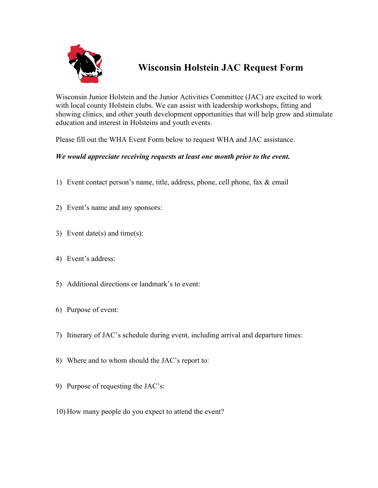

## **Wisconsin Holstein JAC Request Form**

Wisconsin Junior Holstein and the Junior Activities Committee (JAC) are excited to work with local county Holstein clubs. We can assist with leadership workshops, fitting and showing clinics, and other youth development opportunities that will help grow and stimulate education and interest in Holsteins and youth events.

Please fill out the WHA Event Form below to request WHA and JAC assistance.

## *We would appreciate receiving requests at least one month prior to the event.*

- 1) Event contact person's name, title, address, phone, cell phone, fax & email
- 2) Event's name and any sponsors:
- 3) Event date(s) and time(s):
- 4) Event's address:
- 5) Additional directions or landmark's to event:
- 6) Purpose of event:
- 7) Itinerary of JAC's schedule during event, including arrival and departure times:
- 8) Where and to whom should the JAC's report to:
- 9) Purpose of requesting the JAC's:
- 10) How many people do you expect to attend the event?